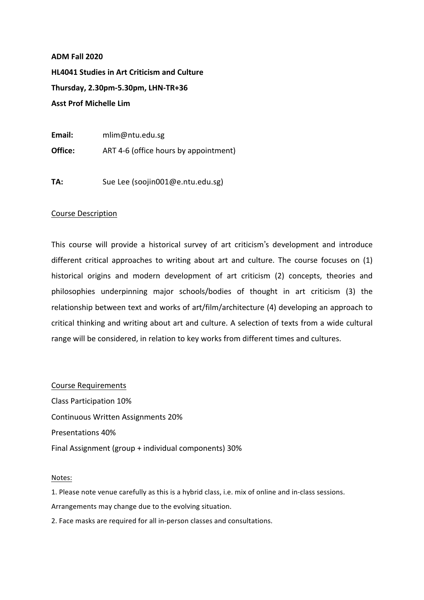## **ADM Fall 2020**

**HL4041 Studies in Art Criticism and Culture Thursday, 2.30pm-5.30pm, LHN-TR+36 Asst Prof Michelle Lim** 

**Email:**  mlim@ntu.edu.sg **Office:** ART 4-6 (office hours by appointment)

**TA:** Sue Lee (soojin001@e.ntu.edu.sg)

## Course Description

This course will provide a historical survey of art criticism's development and introduce different critical approaches to writing about art and culture. The course focuses on (1) historical origins and modern development of art criticism (2) concepts, theories and philosophies underpinning major schools/bodies of thought in art criticism (3) the relationship between text and works of art/film/architecture (4) developing an approach to critical thinking and writing about art and culture. A selection of texts from a wide cultural range will be considered, in relation to key works from different times and cultures.

Course Requirements Class Participation 10% Continuous Written Assignments 20% Presentations 40% Final Assignment (group + individual components) 30%

## Notes:

1. Please note venue carefully as this is a hybrid class, i.e. mix of online and in-class sessions. Arrangements may change due to the evolving situation.

2. Face masks are required for all in-person classes and consultations.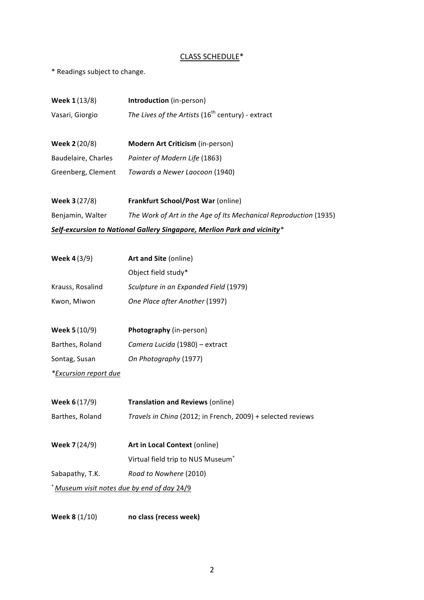## CLASS SCHEDULE<sup>\*</sup>

\* Readings subject to change.

| <b>Week 1 (13/8)</b>                                                     | Introduction (in-person)                                         |  |
|--------------------------------------------------------------------------|------------------------------------------------------------------|--|
| Vasari, Giorgio                                                          | The Lives of the Artists (16 <sup>th</sup> century) - extract    |  |
|                                                                          |                                                                  |  |
| Week 2 (20/8)                                                            | Modern Art Criticism (in-person)                                 |  |
| Baudelaire, Charles                                                      | Painter of Modern Life (1863)                                    |  |
| Greenberg, Clement                                                       | Towards a Newer Laocoon (1940)                                   |  |
|                                                                          |                                                                  |  |
| <b>Week 3 (27/8)</b>                                                     | <b>Frankfurt School/Post War (online)</b>                        |  |
| Benjamin, Walter                                                         | The Work of Art in the Age of Its Mechanical Reproduction (1935) |  |
| Self-excursion to National Gallery Singapore, Merlion Park and vicinity* |                                                                  |  |
|                                                                          |                                                                  |  |
| <b>Week 4 (3/9)</b>                                                      | Art and Site (online)                                            |  |
|                                                                          | Object field study*                                              |  |
| Krauss, Rosalind                                                         | Sculpture in an Expanded Field (1979)                            |  |
| Kwon, Miwon                                                              | One Place after Another (1997)                                   |  |
|                                                                          |                                                                  |  |
| <b>Week 5 (10/9)</b>                                                     | Photography (in-person)                                          |  |
| Barthes, Roland                                                          | Camera Lucida (1980) - extract                                   |  |
| Sontag, Susan                                                            | On Photography (1977)                                            |  |
| *Excursion report due                                                    |                                                                  |  |
|                                                                          |                                                                  |  |
| Week 6 (17/9)                                                            | <b>Translation and Reviews (online)</b>                          |  |
| Barthes, Roland                                                          | Travels in China (2012; in French, 2009) + selected reviews      |  |
|                                                                          |                                                                  |  |
| Week 7 (24/9)                                                            | Art in Local Context (online)                                    |  |
|                                                                          | Virtual field trip to NUS Museum <sup>+</sup>                    |  |
| Sabapathy, T.K.                                                          | Road to Nowhere (2010)                                           |  |
| * Museum visit notes due by end of day 24/9                              |                                                                  |  |
|                                                                          |                                                                  |  |

**Week 8** (1/10) **no class (recess week)**